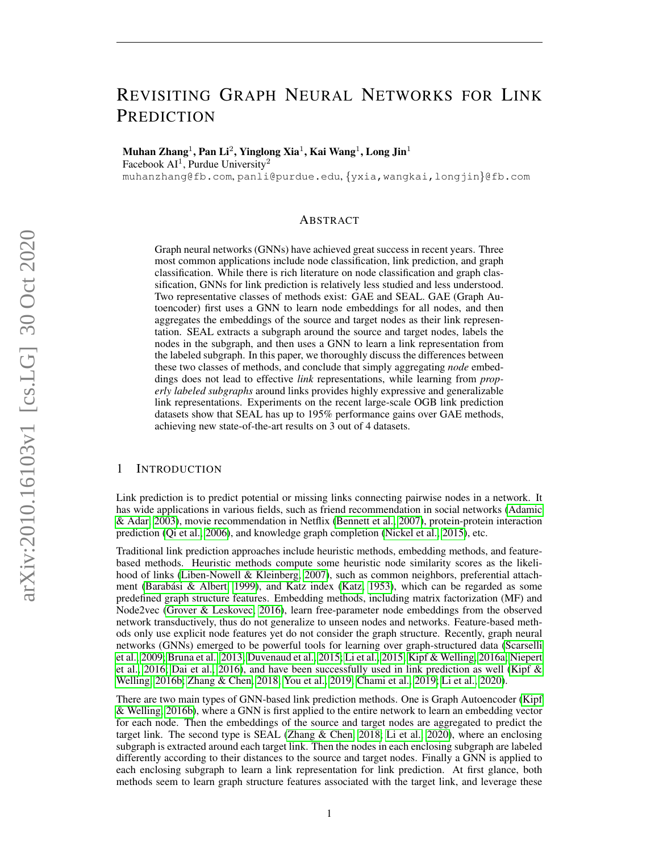# REVISITING GRAPH NEURAL NETWORKS FOR LINK **PREDICTION**

Muhan Zhang $^1$ , Pan Li $^2$ , Yinglong Xia $^1$ , Kai Wang $^1$ , Long Jin $^1$ 

Facebook  $AI<sup>1</sup>$ , Purdue University<sup>2</sup>

muhanzhang@fb.com, panli@purdue.edu, {yxia,wangkai,longjin}@fb.com

#### ABSTRACT

Graph neural networks (GNNs) have achieved great success in recent years. Three most common applications include node classification, link prediction, and graph classification. While there is rich literature on node classification and graph classification, GNNs for link prediction is relatively less studied and less understood. Two representative classes of methods exist: GAE and SEAL. GAE (Graph Autoencoder) first uses a GNN to learn node embeddings for all nodes, and then aggregates the embeddings of the source and target nodes as their link representation. SEAL extracts a subgraph around the source and target nodes, labels the nodes in the subgraph, and then uses a GNN to learn a link representation from the labeled subgraph. In this paper, we thoroughly discuss the differences between these two classes of methods, and conclude that simply aggregating *node* embeddings does not lead to effective *link* representations, while learning from *properly labeled subgraphs* around links provides highly expressive and generalizable link representations. Experiments on the recent large-scale OGB link prediction datasets show that SEAL has up to 195% performance gains over GAE methods, achieving new state-of-the-art results on 3 out of 4 datasets.

# 1 INTRODUCTION

Link prediction is to predict potential or missing links connecting pairwise nodes in a network. It has wide applications in various fields, such as friend recommendation in social networks [\(Adamic](#page-8-0) [& Adar, 2003\)](#page-8-0), movie recommendation in Netflix [\(Bennett et al., 2007\)](#page-8-1), protein-protein interaction prediction [\(Qi et al., 2006\)](#page-9-0), and knowledge graph completion [\(Nickel et al., 2015\)](#page-9-1), etc.

Traditional link prediction approaches include heuristic methods, embedding methods, and featurebased methods. Heuristic methods compute some heuristic node similarity scores as the likelihood of links [\(Liben-Nowell & Kleinberg, 2007\)](#page-9-2), such as common neighbors, preferential attach-ment (Barabási & Albert, 1999), and Katz index [\(Katz, 1953\)](#page-9-3), which can be regarded as some predefined graph structure features. Embedding methods, including matrix factorization (MF) and Node2vec [\(Grover & Leskovec, 2016\)](#page-8-3), learn free-parameter node embeddings from the observed network transductively, thus do not generalize to unseen nodes and networks. Feature-based methods only use explicit node features yet do not consider the graph structure. Recently, graph neural networks (GNNs) emerged to be powerful tools for learning over graph-structured data [\(Scarselli](#page-9-4) [et al., 2009;](#page-9-4) [Bruna et al., 2013;](#page-8-4) [Duvenaud et al., 2015;](#page-8-5) [Li et al., 2015;](#page-9-5) [Kipf & Welling, 2016a;](#page-9-6) [Niepert](#page-9-7) [et al., 2016;](#page-9-7) [Dai et al., 2016\)](#page-8-6), and have been successfully used in link prediction as well [\(Kipf &](#page-9-8) [Welling, 2016b;](#page-9-8) [Zhang & Chen, 2018;](#page-10-0) [You et al., 2019;](#page-10-1) [Chami et al., 2019;](#page-8-7) [Li et al., 2020\)](#page-9-9).

There are two main types of GNN-based link prediction methods. One is Graph Autoencoder [\(Kipf](#page-9-8) [& Welling, 2016b\)](#page-9-8), where a GNN is first applied to the entire network to learn an embedding vector for each node. Then the embeddings of the source and target nodes are aggregated to predict the target link. The second type is SEAL [\(Zhang & Chen, 2018;](#page-10-0) [Li et al., 2020\)](#page-9-9), where an enclosing subgraph is extracted around each target link. Then the nodes in each enclosing subgraph are labeled differently according to their distances to the source and target nodes. Finally a GNN is applied to each enclosing subgraph to learn a link representation for link prediction. At first glance, both methods seem to learn graph structure features associated with the target link, and leverage these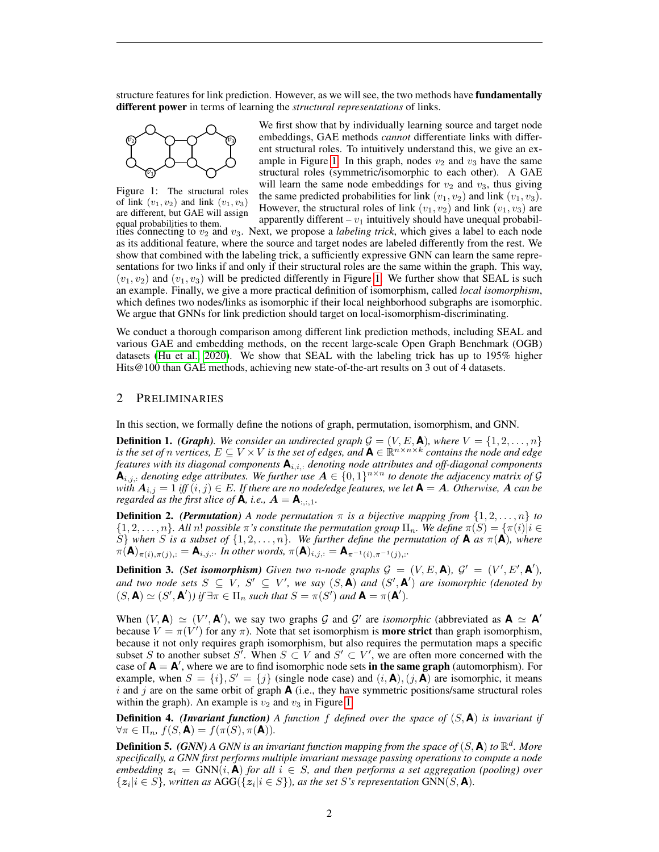structure features for link prediction. However, as we will see, the two methods have **fundamentally** different power in terms of learning the *structural representations* of links.



<span id="page-1-0"></span>Figure 1: The structural roles of link  $(v_1, v_2)$  and link  $(v_1, v_3)$ are different, but GAE will assign

We first show that by individually learning source and target node embeddings, GAE methods *cannot* differentiate links with different structural roles. To intuitively understand this, we give an ex-ample in Figure [1.](#page-1-0) In this graph, nodes  $v_2$  and  $v_3$  have the same structural roles (symmetric/isomorphic to each other). A GAE will learn the same node embeddings for  $v_2$  and  $v_3$ , thus giving the same predicted probabilities for link  $(v_1, v_2)$  and link  $(v_1, v_3)$ . However, the structural roles of link  $(v_1, v_2)$  and link  $(v_1, v_3)$  are apparently different –  $v_1$  intuitively should have unequal probabil-

 $\frac{1}{2}$  apparently different  $-v_1$  intuitively should have different probabilities to them.<br>It it is connecting to  $v_2$  and  $v_3$ . Next, we propose a *labeling trick*, which gives a label to each node as its additional feature, where the source and target nodes are labeled differently from the rest. We show that combined with the labeling trick, a sufficiently expressive GNN can learn the same representations for two links if and only if their structural roles are the same within the graph. This way,  $(v_1, v_2)$  and  $(v_1, v_3)$  will be predicted differently in Figure [1.](#page-1-0) We further show that SEAL is such an example. Finally, we give a more practical definition of isomorphism, called *local isomorphism*, which defines two nodes/links as isomorphic if their local neighborhood subgraphs are isomorphic. We argue that GNNs for link prediction should target on local-isomorphism-discriminating.

We conduct a thorough comparison among different link prediction methods, including SEAL and various GAE and embedding methods, on the recent large-scale Open Graph Benchmark (OGB) datasets [\(Hu et al., 2020\)](#page-8-8). We show that SEAL with the labeling trick has up to 195% higher Hits@100 than GAE methods, achieving new state-of-the-art results on 3 out of 4 datasets.

# 2 PRELIMINARIES

In this section, we formally define the notions of graph, permutation, isomorphism, and GNN.

**Definition 1.** *(Graph). We consider an undirected graph*  $\mathcal{G} = (V, E, \mathbf{A})$ *, where*  $V = \{1, 2, ..., n\}$ *is the set of n vertices,*  $E \subseteq V \times V$  *is the set of edges, and*  $A \in \mathbb{R}^{n \times n \times k}$  *contains the node and edge features with its diagonal components* **A**i,i,: *denoting node attributes and off-diagonal components*  $\mathbf{A}_{i,j,:}$  denoting edge attributes. We further use  $\mathbf{A} \in \{0,1\}^{n \times n}$  to denote the adjacency matrix of G *with*  $A_{i,j} = 1$  *iff*  $(i,j) \in E$ *. If there are no node/edge features, we let*  $\mathbf{A} = \mathbf{A}$ *. Otherwise,*  $\mathbf{A}$  *can be regarded as the first slice of* **A***, i.e.,*  $A = \mathbf{A}_{\dots,1}$ *.* 

**Definition 2.** *(Permutation) A node permutation*  $\pi$  *is a bijective mapping from*  $\{1, 2, \ldots, n\}$  *to*  $\{1, 2, \ldots, n\}$ . All n! possible  $\pi$ 's constitute the permutation group  $\Pi_n$ . We define  $\pi(S) = {\pi(i)}|i \in$  $\hat{S}$ *}* when *S* is a subset of  $\{1, 2, \ldots, n\}$ *. We further define the permutation of* **A** *as*  $\pi(A)$ *, where*  $\pi(\mathbf{A})_{\pi(i),\pi(j),:} = \mathbf{A}_{i,j,:}.$  In other words,  $\pi(\mathbf{A})_{i,j,:} = \mathbf{A}_{\pi^{-1}(i),\pi^{-1}(j),:}.$ 

**Definition 3.** *(Set isomorphism) Given two n-node graphs*  $G = (V, E, \mathbf{A})$ *,*  $G' = (V', E', \mathbf{A}')$ *,* and two node sets  $S \subseteq V$ ,  $S' \subseteq V'$ , we say  $(S, \mathbf{A})$  and  $(S', \mathbf{A}')$  are isomorphic (denoted by  $(S, \mathbf{A}) \simeq (S', \mathbf{A}'))$  if  $\exists \pi \in \Pi_n$  such that  $S = \pi(S')$  and  $\mathbf{A} = \pi(\mathbf{A}').$ 

When  $(V, A) \simeq (V', A')$ , we say two graphs G and G' are *isomorphic* (abbreviated as  $A \simeq A'$ ) because  $V = \pi(V')$  for any  $\pi$ ). Note that set isomorphism is **more strict** than graph isomorphism, because it not only requires graph isomorphism, but also requires the permutation maps a specific subset S to another subset S'. When  $S \subset V$  and  $S' \subset V'$ , we are often more concerned with the case of  $A = A'$ , where we are to find isomorphic node sets in the same graph (automorphism). For example, when  $S = \{i\}, S' = \{j\}$  (single node case) and  $(i, \mathbf{A}), (j, \mathbf{A})$  are isomorphic, it means i and j are on the same orbit of graph  $\bf{A}$  (i.e., they have symmetric positions/same structural roles within the graph). An example is  $v_2$  and  $v_3$  in Figure [1.](#page-1-0)

**Definition 4.** *(Invariant function)* A function f defined over the space of  $(S, \mathbf{A})$  is invariant if  $\forall \pi \in \Pi_n$ ,  $f(S, \mathbf{A}) = f(\pi(S), \pi(\mathbf{A})).$ 

<span id="page-1-1"></span>**Definition 5.** *(GNN) A GNN is an invariant function mapping from the space of*  $(S, \mathbf{A})$  *to*  $\mathbb{R}^d$ *. More specifically, a GNN first performs multiple invariant message passing operations to compute a node embedding*  $z_i = GNN(i, A)$  *for all*  $i \in S$ *, and then performs a set aggregation (pooling) over*  $\{z_i | i \in S\}$ , written as  $AGG(\{z_i | i \in S\})$ , as the set S's representation  $GNN(S, \mathbf{A})$ .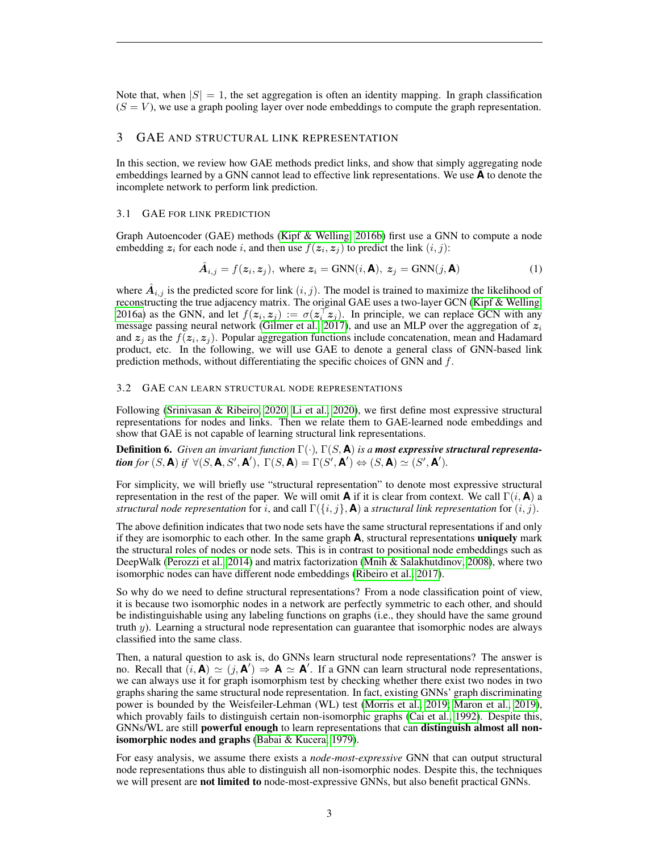Note that, when  $|S| = 1$ , the set aggregation is often an identity mapping. In graph classification  $(S = V)$ , we use a graph pooling layer over node embeddings to compute the graph representation.

# 3 GAE AND STRUCTURAL LINK REPRESENTATION

In this section, we review how GAE methods predict links, and show that simply aggregating node embeddings learned by a GNN cannot lead to effective link representations. We use **A** to denote the incomplete network to perform link prediction.

#### 3.1 GAE FOR LINK PREDICTION

Graph Autoencoder (GAE) methods [\(Kipf & Welling, 2016b\)](#page-9-8) first use a GNN to compute a node embedding  $z_i$  for each node i, and then use  $f(z_i, z_j)$  to predict the link  $(i, j)$ :

$$
\hat{A}_{i,j} = f(z_i, z_j), \text{ where } z_i = \text{GNN}(i, \mathbf{A}), \ z_j = \text{GNN}(j, \mathbf{A})
$$
 (1)

where  $\hat{A}_{i,j}$  is the predicted score for link  $(i, j)$ . The model is trained to maximize the likelihood of reconstructing the true adjacency matrix. The original GAE uses a two-layer GCN [\(Kipf & Welling,](#page-9-6) [2016a\)](#page-9-6) as the GNN, and let  $f(z_i, z_j) := \sigma(z_i^{\top} z_j)$ . In principle, we can replace GCN with any message passing neural network [\(Gilmer et al., 2017\)](#page-8-9), and use an MLP over the aggregation of  $z<sub>i</sub>$ and  $z_j$  as the  $f(z_i, z_j)$ . Popular aggregation functions include concatenation, mean and Hadamard product, etc. In the following, we will use GAE to denote a general class of GNN-based link prediction methods, without differentiating the specific choices of GNN and f.

#### 3.2 GAE CAN LEARN STRUCTURAL NODE REPRESENTATIONS

Following [\(Srinivasan & Ribeiro, 2020;](#page-9-10) [Li et al., 2020\)](#page-9-9), we first define most expressive structural representations for nodes and links. Then we relate them to GAE-learned node embeddings and show that GAE is not capable of learning structural link representations.

Definition 6. *Given an invariant function* Γ(·)*,* Γ(S, **A**) *is a most expressive structural representation for*  $(S, \mathbf{A})$  *if*  $\forall (S, \mathbf{A}, S', \mathbf{A}')$ ,  $\Gamma(S, \mathbf{A}) = \Gamma(S', \mathbf{A}') \Leftrightarrow (S, \mathbf{A}) \simeq (S', \mathbf{A}').$ 

For simplicity, we will briefly use "structural representation" to denote most expressive structural representation in the rest of the paper. We will omit **A** if it is clear from context. We call  $\Gamma(i, \mathbf{A})$  a *structural node representation* for i, and call  $\Gamma({i, j}, \mathbf{A})$  a *structural link representation* for  $(i, j)$ .

The above definition indicates that two node sets have the same structural representations if and only if they are isomorphic to each other. In the same graph **A**, structural representations uniquely mark the structural roles of nodes or node sets. This is in contrast to positional node embeddings such as DeepWalk [\(Perozzi et al., 2014\)](#page-9-11) and matrix factorization [\(Mnih & Salakhutdinov, 2008\)](#page-9-12), where two isomorphic nodes can have different node embeddings [\(Ribeiro et al., 2017\)](#page-9-13).

So why do we need to define structural representations? From a node classification point of view, it is because two isomorphic nodes in a network are perfectly symmetric to each other, and should be indistinguishable using any labeling functions on graphs (i.e., they should have the same ground truth y). Learning a structural node representation can guarantee that isomorphic nodes are always classified into the same class.

Then, a natural question to ask is, do GNNs learn structural node representations? The answer is no. Recall that  $(i, A) \simeq (j, A') \Rightarrow A \simeq A'$ . If a GNN can learn structural node representations, we can always use it for graph isomorphism test by checking whether there exist two nodes in two graphs sharing the same structural node representation. In fact, existing GNNs' graph discriminating power is bounded by the Weisfeiler-Lehman (WL) test [\(Morris et al., 2019;](#page-9-14) [Maron et al., 2019\)](#page-9-15), which provably fails to distinguish certain non-isomorphic graphs [\(Cai et al., 1992\)](#page-8-10). Despite this, GNNs/WL are still powerful enough to learn representations that can distinguish almost all nonisomorphic nodes and graphs [\(Babai & Kucera, 1979\)](#page-8-11).

For easy analysis, we assume there exists a *node-most-expressive* GNN that can output structural node representations thus able to distinguish all non-isomorphic nodes. Despite this, the techniques we will present are not limited to node-most-expressive GNNs, but also benefit practical GNNs.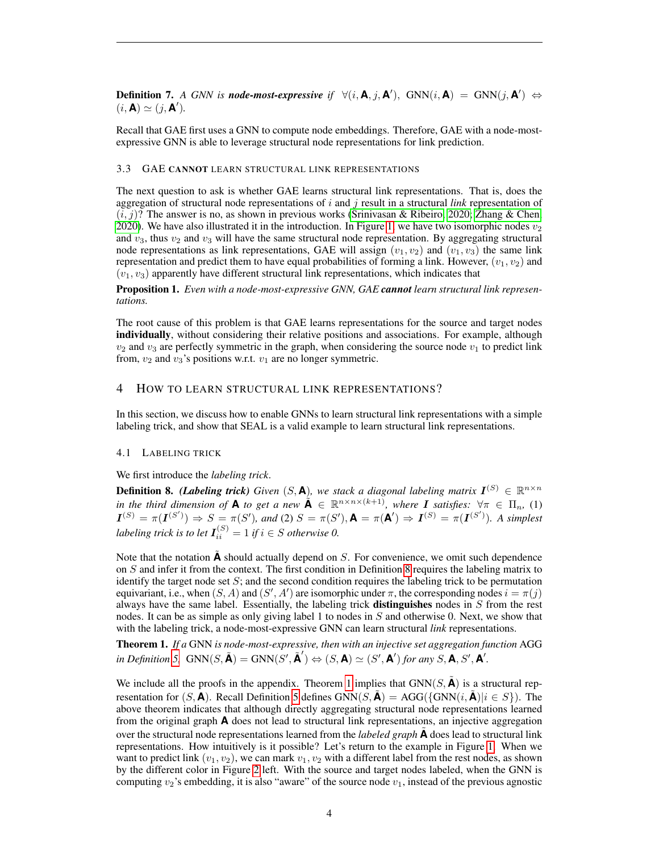**Definition 7.** *A GNN is node-most-expressive if*  $\forall (i, \mathbf{A}, j, \mathbf{A}'),$   $\text{GNN}(i, \mathbf{A}) = \text{GNN}(j, \mathbf{A}') \Leftrightarrow$  $(i, \mathbf{A}) \simeq (j, \mathbf{A}^{\prime}).$ 

Recall that GAE first uses a GNN to compute node embeddings. Therefore, GAE with a node-mostexpressive GNN is able to leverage structural node representations for link prediction.

#### 3.3 GAE CANNOT LEARN STRUCTURAL LINK REPRESENTATIONS

The next question to ask is whether GAE learns structural link representations. That is, does the aggregation of structural node representations of i and j result in a structural *link* representation of  $(i, j)$ ? The answer is no, as shown in previous works [\(Srinivasan & Ribeiro, 2020;](#page-9-10) [Zhang & Chen,](#page-10-2) [2020\)](#page-10-2). We have also illustrated it in the introduction. In Figure [1,](#page-1-0) we have two isomorphic nodes  $v_2$ and  $v_3$ , thus  $v_2$  and  $v_3$  will have the same structural node representation. By aggregating structural node representations as link representations, GAE will assign  $(v_1, v_2)$  and  $(v_1, v_3)$  the same link representation and predict them to have equal probabilities of forming a link. However,  $(v_1, v_2)$  and  $(v_1, v_3)$  apparently have different structural link representations, which indicates that

Proposition 1. *Even with a node-most-expressive GNN, GAE cannot learn structural link representations.*

The root cause of this problem is that GAE learns representations for the source and target nodes individually, without considering their relative positions and associations. For example, although  $v_2$  and  $v_3$  are perfectly symmetric in the graph, when considering the source node  $v_1$  to predict link from,  $v_2$  and  $v_3$ 's positions w.r.t.  $v_1$  are no longer symmetric.

## 4 HOW TO LEARN STRUCTURAL LINK REPRESENTATIONS?

In this section, we discuss how to enable GNNs to learn structural link representations with a simple labeling trick, and show that SEAL is a valid example to learn structural link representations.

#### 4.1 LABELING TRICK

We first introduce the *labeling trick*.

<span id="page-3-0"></span>**Definition 8.** (Labeling trick) Given  $(S, \mathbf{A})$ , we stack a diagonal labeling matrix  $\mathbf{I}^{(S)} \in \mathbb{R}^{n \times n}$ *in the third dimension of* **A** *to get a new*  $\tilde{A} \in \mathbb{R}^{n \times n \times (k+1)}$ *, where I satisfies:*  $\forall \pi \in \Pi_n$ *,* (1)  $I^{(S)} = \pi(I^{(S')}) \Rightarrow S = \pi(S')$ , and (2)  $S = \pi(S')$ ,  $A = \pi(A') \Rightarrow I^{(S)} = \pi(I^{(S')})$ . A simplest *labeling trick is to let*  $I_{ii}^{(S)} = 1$  *if*  $i \in S$  *otherwise* 0.

Note that the notation  $\boldsymbol{A}$  should actually depend on  $S$ . For convenience, we omit such dependence on S and infer it from the context. The first condition in Definition [8](#page-3-0) requires the labeling matrix to identify the target node set  $S$ ; and the second condition requires the labeling trick to be permutation equivariant, i.e., when  $(S, A)$  and  $(S', A')$  are isomorphic under  $\pi$ , the corresponding nodes  $i = \pi(j)$ always have the same label. Essentially, the labeling trick **distinguishes** nodes in  $S$  from the rest nodes. It can be as simple as only giving label 1 to nodes in  $S$  and otherwise 0. Next, we show that with the labeling trick, a node-most-expressive GNN can learn structural *link* representations.

<span id="page-3-1"></span>Theorem 1. *If a* GNN *is node-most-expressive, then with an injective set aggregation function* AGG  $\iint$  *in Definition [5,](#page-1-1)*  $GNN(S, \tilde{A}) = GNN(S', \tilde{A}') \Leftrightarrow (S, A) \simeq (S', A')$  *for any*  $S, A, S', A'$ .

We include all the proofs in the appendix. Theorem [1](#page-3-1) implies that  $GNN(S, \mathbf{A})$  is a structural representation for  $(S, \mathbf{A})$ . Recall Definition [5](#page-1-1) defines GNN( $S, \mathbf{A}$ ) = AGG({GNN( $i, \mathbf{A}$ )| $i \in S$ }). The above theorem indicates that although directly aggregating structural node representations learned from the original graph **A** does not lead to structural link representations, an injective aggregation over the structural node representations learned from the *labeled graph* **A** does lead to structural link representations. How intuitively is it possible? Let's return to the example in Figure [1.](#page-1-0) When we want to predict link  $(v_1, v_2)$ , we can mark  $v_1, v_2$  with a different label from the rest nodes, as shown by the different color in Figure [2](#page-4-0) left. With the source and target nodes labeled, when the GNN is computing  $v_2$ 's embedding, it is also "aware" of the source node  $v_1$ , instead of the previous agnostic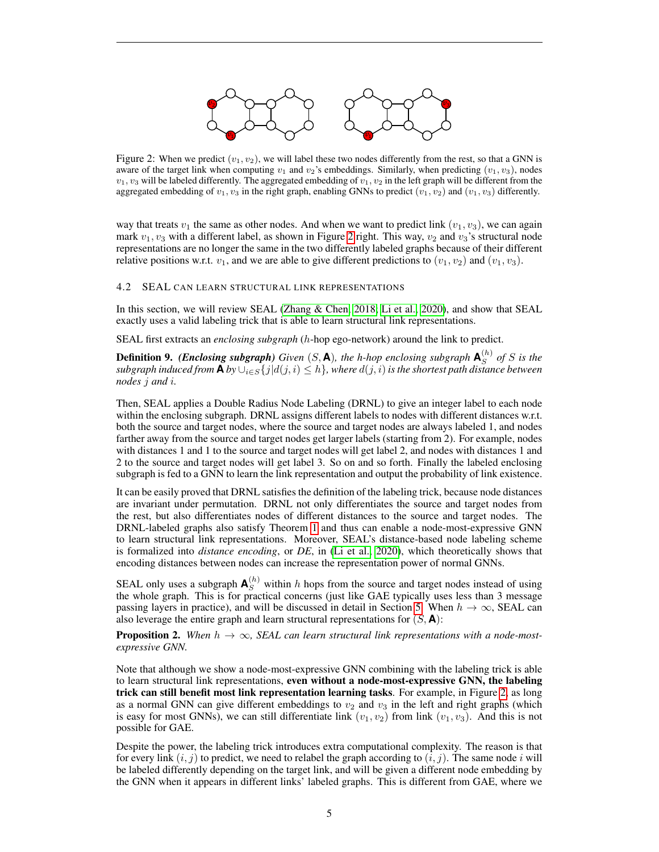

<span id="page-4-0"></span>Figure 2: When we predict  $(v_1, v_2)$ , we will label these two nodes differently from the rest, so that a GNN is aware of the target link when computing  $v_1$  and  $v_2$ 's embeddings. Similarly, when predicting  $(v_1, v_3)$ , nodes  $v_1, v_3$  will be labeled differently. The aggregated embedding of  $v_1, v_2$  in the left graph will be different from the aggregated embedding of  $v_1, v_3$  in the right graph, enabling GNNs to predict  $(v_1, v_2)$  and  $(v_1, v_3)$  differently.

way that treats  $v_1$  the same as other nodes. And when we want to predict link  $(v_1, v_3)$ , we can again mark  $v_1, v_3$  with a different label, as shown in Figure [2](#page-4-0) right. This way,  $v_2$  and  $v_3$ 's structural node representations are no longer the same in the two differently labeled graphs because of their different relative positions w.r.t.  $v_1$ , and we are able to give different predictions to  $(v_1, v_2)$  and  $(v_1, v_3)$ .

#### 4.2 SEAL CAN LEARN STRUCTURAL LINK REPRESENTATIONS

In this section, we will review SEAL [\(Zhang & Chen, 2018;](#page-10-0) [Li et al., 2020\)](#page-9-9), and show that SEAL exactly uses a valid labeling trick that is able to learn structural link representations.

SEAL first extracts an *enclosing subgraph* (h-hop ego-network) around the link to predict.

**Definition 9.** *(Enclosing subgraph) Given* (*S*, **A**)*, the h-hop enclosing subgraph*  $\mathbf{A}_{S}^{(h)}$  $S^{(n)}$  of S is the *subgraph induced from* **A** *by*  $\cup_{i \in S} \{j | d(j, i) \leq h\}$ *, where*  $d(j, i)$  *is the shortest path distance between nodes* j *and* i*.*

Then, SEAL applies a Double Radius Node Labeling (DRNL) to give an integer label to each node within the enclosing subgraph. DRNL assigns different labels to nodes with different distances w.r.t. both the source and target nodes, where the source and target nodes are always labeled 1, and nodes farther away from the source and target nodes get larger labels (starting from 2). For example, nodes with distances 1 and 1 to the source and target nodes will get label 2, and nodes with distances 1 and 2 to the source and target nodes will get label 3. So on and so forth. Finally the labeled enclosing subgraph is fed to a GNN to learn the link representation and output the probability of link existence.

It can be easily proved that DRNL satisfies the definition of the labeling trick, because node distances are invariant under permutation. DRNL not only differentiates the source and target nodes from the rest, but also differentiates nodes of different distances to the source and target nodes. The DRNL-labeled graphs also satisfy Theorem [1](#page-3-1) and thus can enable a node-most-expressive GNN to learn structural link representations. Moreover, SEAL's distance-based node labeling scheme is formalized into *distance encoding*, or *DE*, in [\(Li et al., 2020\)](#page-9-9), which theoretically shows that encoding distances between nodes can increase the representation power of normal GNNs.

SEAL only uses a subgraph  $\mathbf{A}_{S}^{(h)}$  within h hops from the source and target nodes instead of using the whole graph. This is for practical concerns (just like GAE typically uses less than 3 message passing layers in practice), and will be discussed in detail in Section [5.](#page-5-0) When  $h \to \infty$ , SEAL can also leverage the entire graph and learn structural representations for  $(S, \mathbf{A})$ :

**Proposition 2.** When  $h \to \infty$ , SEAL can learn structural link representations with a node-most*expressive GNN.*

Note that although we show a node-most-expressive GNN combining with the labeling trick is able to learn structural link representations, even without a node-most-expressive GNN, the labeling trick can still benefit most link representation learning tasks. For example, in Figure [2,](#page-4-0) as long as a normal GNN can give different embeddings to  $v_2$  and  $v_3$  in the left and right graphs (which is easy for most GNNs), we can still differentiate link  $(v_1, v_2)$  from link  $(v_1, v_3)$ . And this is not possible for GAE.

Despite the power, the labeling trick introduces extra computational complexity. The reason is that for every link  $(i, j)$  to predict, we need to relabel the graph according to  $(i, j)$ . The same node i will be labeled differently depending on the target link, and will be given a different node embedding by the GNN when it appears in different links' labeled graphs. This is different from GAE, where we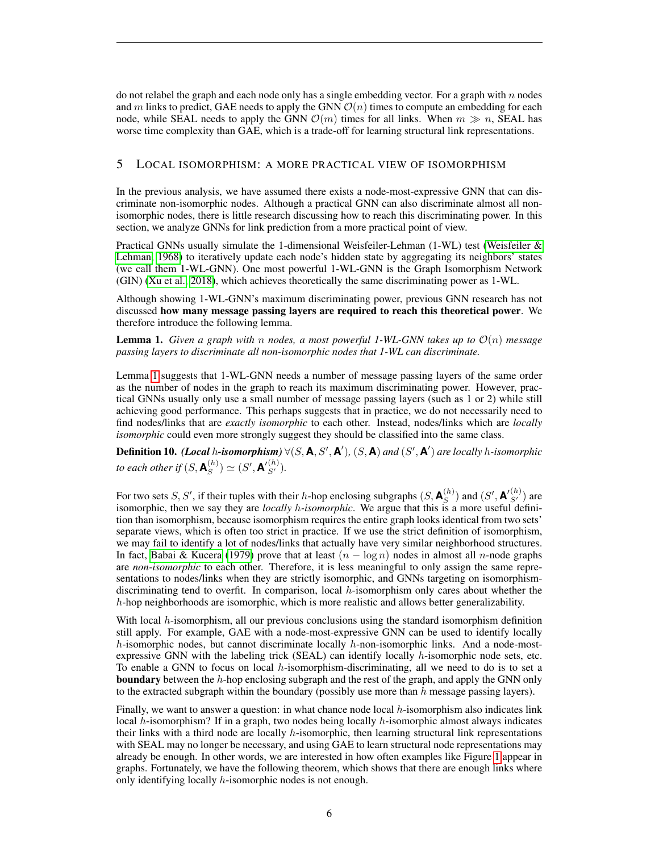do not relabel the graph and each node only has a single embedding vector. For a graph with  $n$  nodes and m links to predict, GAE needs to apply the GNN  $\mathcal{O}(n)$  times to compute an embedding for each node, while SEAL needs to apply the GNN  $\mathcal{O}(m)$  times for all links. When  $m \gg n$ , SEAL has worse time complexity than GAE, which is a trade-off for learning structural link representations.

# <span id="page-5-0"></span>5 LOCAL ISOMORPHISM: A MORE PRACTICAL VIEW OF ISOMORPHISM

In the previous analysis, we have assumed there exists a node-most-expressive GNN that can discriminate non-isomorphic nodes. Although a practical GNN can also discriminate almost all nonisomorphic nodes, there is little research discussing how to reach this discriminating power. In this section, we analyze GNNs for link prediction from a more practical point of view.

Practical GNNs usually simulate the 1-dimensional Weisfeiler-Lehman (1-WL) test [\(Weisfeiler &](#page-9-16) [Lehman, 1968\)](#page-9-16) to iteratively update each node's hidden state by aggregating its neighbors' states (we call them 1-WL-GNN). One most powerful 1-WL-GNN is the Graph Isomorphism Network (GIN) [\(Xu et al., 2018\)](#page-9-17), which achieves theoretically the same discriminating power as 1-WL.

Although showing 1-WL-GNN's maximum discriminating power, previous GNN research has not discussed how many message passing layers are required to reach this theoretical power. We therefore introduce the following lemma.

<span id="page-5-1"></span>Lemma 1. *Given a graph with* n *nodes, a most powerful 1-WL-GNN takes up to* O(n) *message passing layers to discriminate all non-isomorphic nodes that 1-WL can discriminate.*

Lemma [1](#page-5-1) suggests that 1-WL-GNN needs a number of message passing layers of the same order as the number of nodes in the graph to reach its maximum discriminating power. However, practical GNNs usually only use a small number of message passing layers (such as 1 or 2) while still achieving good performance. This perhaps suggests that in practice, we do not necessarily need to find nodes/links that are *exactly isomorphic* to each other. Instead, nodes/links which are *locally isomorphic* could even more strongly suggest they should be classified into the same class.

Definition 10. *(Local h-isomorphism)*  $\forall (S, A, S', A'), (S, A)$  *and*  $(S', A')$  *are locally h-isomorphic to each other if*  $(S, \mathbf{A}^{(h)}_S)$  $\binom{(h)}{S} \simeq (S', \mathbf{A'}_{S'}^{(h)}).$ 

For two sets S, S', if their tuples with their h-hop enclosing subgraphs  $(S, \mathbf{A}_{S}^{(h)})$  $\binom{(h)}{S}$  and  $\left(S', \mathbf{A'}_{S'}^{(h)}\right)$  are isomorphic, then we say they are *locally* h*-isomorphic*. We argue that this is a more useful definition than isomorphism, because isomorphism requires the entire graph looks identical from two sets' separate views, which is often too strict in practice. If we use the strict definition of isomorphism, we may fail to identify a lot of nodes/links that actually have very similar neighborhood structures. In fact, [Babai & Kucera](#page-8-11) [\(1979\)](#page-8-11) prove that at least  $(n - \log n)$  nodes in almost all n-node graphs are *non-isomorphic* to each other. Therefore, it is less meaningful to only assign the same representations to nodes/links when they are strictly isomorphic, and GNNs targeting on isomorphismdiscriminating tend to overfit. In comparison, local  $h$ -isomorphism only cares about whether the  $h$ -hop neighborhoods are isomorphic, which is more realistic and allows better generalizability.

With local  $h$ -isomorphism, all our previous conclusions using the standard isomorphism definition still apply. For example, GAE with a node-most-expressive GNN can be used to identify locally h-isomorphic nodes, but cannot discriminate locally h-non-isomorphic links. And a node-mostexpressive GNN with the labeling trick (SEAL) can identify locally  $h$ -isomorphic node sets, etc. To enable a GNN to focus on local h-isomorphism-discriminating, all we need to do is to set a **boundary** between the  $h$ -hop enclosing subgraph and the rest of the graph, and apply the GNN only to the extracted subgraph within the boundary (possibly use more than  $h$  message passing layers).

Finally, we want to answer a question: in what chance node local  $h$ -isomorphism also indicates link local  $h$ -isomorphism? If in a graph, two nodes being locally  $h$ -isomorphic almost always indicates their links with a third node are locally  $h$ -isomorphic, then learning structural link representations with SEAL may no longer be necessary, and using GAE to learn structural node representations may already be enough. In other words, we are interested in how often examples like Figure [1](#page-1-0) appear in graphs. Fortunately, we have the following theorem, which shows that there are enough links where only identifying locally h-isomorphic nodes is not enough.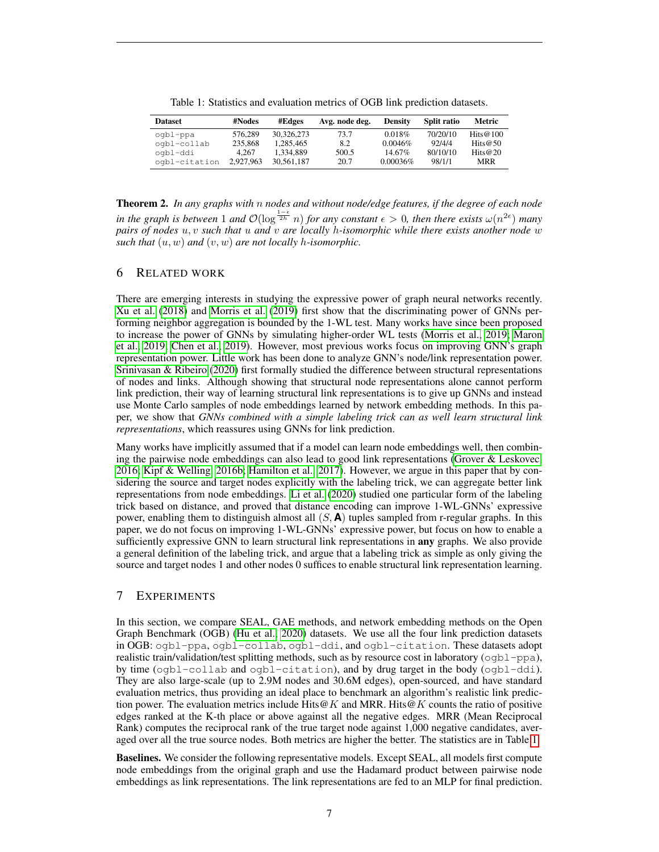<span id="page-6-0"></span>Table 1: Statistics and evaluation metrics of OGB link prediction datasets.

| <b>Dataset</b>                      | #Nodes                      | #Edges                               | Avg. node deg.       | <b>Density</b>              | Split ratio                    | Metric                                  |
|-------------------------------------|-----------------------------|--------------------------------------|----------------------|-----------------------------|--------------------------------|-----------------------------------------|
| ogbl-ppa<br>ogbl-collab<br>oqbl-ddi | 576.289<br>235,868<br>4.267 | 30,326,273<br>1.285.465<br>1.334.889 | 73.7<br>8.2<br>500.5 | 0.018%<br>0.0046%<br>14.67% | 70/20/10<br>92/4/4<br>80/10/10 | Hits $@100$<br>Hits $@50$<br>Hits $@20$ |
| ogbl-citation                       | 2.927.963                   | 30.561.187                           | 20.7                 | $0.00036\%$                 | 98/1/1                         | <b>MRR</b>                              |

<span id="page-6-1"></span>Theorem 2. *In any graphs with* n *nodes and without node/edge features, if the degree of each node in the graph is between* 1 *and*  $\mathcal{O}(\log^{\frac{1-\epsilon}{2h}} n)$  *for any constant*  $\epsilon > 0$ *, then there exists*  $\omega(n^{2\epsilon})$  *many pairs of nodes* u, v *such that* u *and* v *are locally* h*-isomorphic while there exists another node* w *such that*  $(u, w)$  *and*  $(v, w)$  *are not locally h-isomorphic.* 

# 6 RELATED WORK

There are emerging interests in studying the expressive power of graph neural networks recently. [Xu et al.](#page-9-17) [\(2018\)](#page-9-17) and [Morris et al.](#page-9-14) [\(2019\)](#page-9-14) first show that the discriminating power of GNNs performing neighbor aggregation is bounded by the 1-WL test. Many works have since been proposed to increase the power of GNNs by simulating higher-order WL tests [\(Morris et al., 2019;](#page-9-14) [Maron](#page-9-15) [et al., 2019;](#page-9-15) [Chen et al., 2019\)](#page-8-12). However, most previous works focus on improving GNN's graph representation power. Little work has been done to analyze GNN's node/link representation power. [Srinivasan & Ribeiro](#page-9-10) [\(2020\)](#page-9-10) first formally studied the difference between structural representations of nodes and links. Although showing that structural node representations alone cannot perform link prediction, their way of learning structural link representations is to give up GNNs and instead use Monte Carlo samples of node embeddings learned by network embedding methods. In this paper, we show that *GNNs combined with a simple labeling trick can as well learn structural link representations*, which reassures using GNNs for link prediction.

Many works have implicitly assumed that if a model can learn node embeddings well, then combining the pairwise node embeddings can also lead to good link representations [\(Grover & Leskovec,](#page-8-3) [2016;](#page-8-3) [Kipf & Welling, 2016b;](#page-9-8) [Hamilton et al., 2017\)](#page-8-13). However, we argue in this paper that by considering the source and target nodes explicitly with the labeling trick, we can aggregate better link representations from node embeddings. [Li et al.](#page-9-9) [\(2020\)](#page-9-9) studied one particular form of the labeling trick based on distance, and proved that distance encoding can improve 1-WL-GNNs' expressive power, enabling them to distinguish almost all  $(S, A)$  tuples sampled from r-regular graphs. In this paper, we do not focus on improving 1-WL-GNNs' expressive power, but focus on how to enable a sufficiently expressive GNN to learn structural link representations in any graphs. We also provide a general definition of the labeling trick, and argue that a labeling trick as simple as only giving the source and target nodes 1 and other nodes 0 suffices to enable structural link representation learning.

## 7 EXPERIMENTS

In this section, we compare SEAL, GAE methods, and network embedding methods on the Open Graph Benchmark (OGB) [\(Hu et al., 2020\)](#page-8-8) datasets. We use all the four link prediction datasets in OGB: ogbl-ppa, ogbl-collab, ogbl-ddi, and ogbl-citation. These datasets adopt realistic train/validation/test splitting methods, such as by resource cost in laboratory ( $\sigma$ gbl-ppa), by time (ogbl-collab and ogbl-citation), and by drug target in the body (ogbl-ddi). They are also large-scale (up to 2.9M nodes and 30.6M edges), open-sourced, and have standard evaluation metrics, thus providing an ideal place to benchmark an algorithm's realistic link prediction power. The evaluation metrics include Hits@K and MRR. Hits@K counts the ratio of positive edges ranked at the K-th place or above against all the negative edges. MRR (Mean Reciprocal Rank) computes the reciprocal rank of the true target node against 1,000 negative candidates, averaged over all the true source nodes. Both metrics are higher the better. The statistics are in Table [1.](#page-6-0)

Baselines. We consider the following representative models. Except SEAL, all models first compute node embeddings from the original graph and use the Hadamard product between pairwise node embeddings as link representations. The link representations are fed to an MLP for final prediction.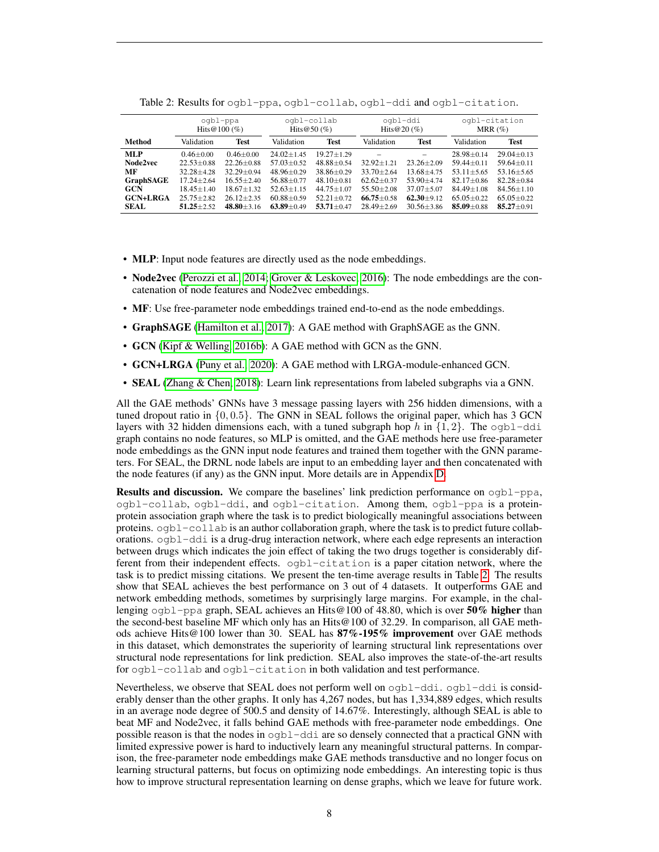|                  | ogbl-ppa<br>Hits $@100(%)$ |                | ogbl-collab<br>Hits $@50 (\%)$ |                  | ogbl-ddi<br>Hits $@20(%$ |                   | ogbl-citation<br>MRR $(\%)$ |                |
|------------------|----------------------------|----------------|--------------------------------|------------------|--------------------------|-------------------|-----------------------------|----------------|
| Method           | Validation                 | Test           | Validation                     | Test             | Validation               | <b>Test</b>       | Validation                  | <b>Test</b>    |
| <b>MLP</b>       | $0.46 + 0.00$              | $0.46 + 0.00$  | $24.02 + 1.45$                 | $19.27 + 1.29$   |                          | $\qquad \qquad -$ | $28.98 \pm 0.14$            | $29.04 + 0.13$ |
| Node2vec         | $22.53 + 0.88$             | $22.26 + 0.88$ | $57.03 + 0.52$                 | $48.88 + 0.54$   | $32.92 \pm 1.21$         | $23.26 + 2.09$    | $59.44 + 0.11$              | $59.64 + 0.11$ |
| MF               | $32.28 + 4.28$             | $32.29 + 0.94$ | $48.96 + 0.29$                 | $38.86 \pm 0.29$ | $33.70 + 2.64$           | $13.68 + 4.75$    | $53.11 + 5.65$              | $53.16 + 5.65$ |
| <b>GraphSAGE</b> | $17.24 \pm 2.64$           | $16.55 + 2.40$ | $56.88 + 0.77$                 | $48.10 + 0.81$   | $62.62 + 0.37$           | $53.90 + 4.74$    | $82.17 + 0.86$              | $82.28 + 0.84$ |
| <b>GCN</b>       | $18.45 + 1.40$             | $18.67 + 1.32$ | $52.63 + 1.15$                 | $44.75 + 1.07$   | $55.50 + 2.08$           | $37.07 + 5.07$    | $84.49 + 1.08$              | $84.56 + 1.10$ |
| <b>GCN+LRGA</b>  | $25.75 + 2.82$             | $26.12 + 2.35$ | $60.88 \pm 0.59$               | $52.21 + 0.72$   | $66.75 + 0.58$           | $62.30 + 9.12$    | $65.05 + 0.22$              | $65.05 + 0.22$ |
| <b>SEAL</b>      | $51.25 + 2.52$             | $48.80 + 3.16$ | $63.89 + 0.49$                 | $53.71 + 0.47$   | $28.49 + 2.69$           | $30.56 + 3.86$    | $85.09 + 0.88$              | $85.27 + 0.91$ |

<span id="page-7-0"></span>Table 2: Results for ogbl-ppa, ogbl-collab, ogbl-ddi and ogbl-citation.

- MLP: Input node features are directly used as the node embeddings.
- Node2vec [\(Perozzi et al., 2014;](#page-9-11) [Grover & Leskovec, 2016\)](#page-8-3): The node embeddings are the concatenation of node features and Node2vec embeddings.
- MF: Use free-parameter node embeddings trained end-to-end as the node embeddings.
- GraphSAGE [\(Hamilton et al., 2017\)](#page-8-13): A GAE method with GraphSAGE as the GNN.
- GCN [\(Kipf & Welling, 2016b\)](#page-9-8): A GAE method with GCN as the GNN.
- GCN+LRGA [\(Puny et al., 2020\)](#page-9-18): A GAE method with LRGA-module-enhanced GCN.
- SEAL [\(Zhang & Chen, 2018\)](#page-10-0): Learn link representations from labeled subgraphs via a GNN.

All the GAE methods' GNNs have 3 message passing layers with 256 hidden dimensions, with a tuned dropout ratio in  $\{0, 0.5\}$ . The GNN in SEAL follows the original paper, which has 3 GCN layers with 32 hidden dimensions each, with a tuned subgraph hop h in  $\{1, 2\}$ . The ogbl-ddi graph contains no node features, so MLP is omitted, and the GAE methods here use free-parameter node embeddings as the GNN input node features and trained them together with the GNN parameters. For SEAL, the DRNL node labels are input to an embedding layer and then concatenated with the node features (if any) as the GNN input. More details are in Appendix [D.](#page-12-0)

**Results and discussion.** We compare the baselines' link prediction performance on  $\text{Ogb1}-\text{ppa}$ , ogbl-collab, ogbl-ddi, and ogbl-citation. Among them, ogbl-ppa is a proteinprotein association graph where the task is to predict biologically meaningful associations between proteins. ogbl-collab is an author collaboration graph, where the task is to predict future collaborations. ogbl-ddi is a drug-drug interaction network, where each edge represents an interaction between drugs which indicates the join effect of taking the two drugs together is considerably different from their independent effects. ogbl-citation is a paper citation network, where the task is to predict missing citations. We present the ten-time average results in Table [2.](#page-7-0) The results show that SEAL achieves the best performance on 3 out of 4 datasets. It outperforms GAE and network embedding methods, sometimes by surprisingly large margins. For example, in the challenging  $\infty$ gbl-ppa graph, SEAL achieves an Hits@100 of 48.80, which is over 50% higher than the second-best baseline MF which only has an Hits@100 of 32.29. In comparison, all GAE methods achieve Hits@100 lower than 30. SEAL has 87%-195% improvement over GAE methods in this dataset, which demonstrates the superiority of learning structural link representations over structural node representations for link prediction. SEAL also improves the state-of-the-art results for ogbl-collab and ogbl-citation in both validation and test performance.

Nevertheless, we observe that SEAL does not perform well on ogbl-ddi. ogbl-ddi is considerably denser than the other graphs. It only has 4,267 nodes, but has 1,334,889 edges, which results in an average node degree of 500.5 and density of 14.67%. Interestingly, although SEAL is able to beat MF and Node2vec, it falls behind GAE methods with free-parameter node embeddings. One possible reason is that the nodes in ogbl-ddi are so densely connected that a practical GNN with limited expressive power is hard to inductively learn any meaningful structural patterns. In comparison, the free-parameter node embeddings make GAE methods transductive and no longer focus on learning structural patterns, but focus on optimizing node embeddings. An interesting topic is thus how to improve structural representation learning on dense graphs, which we leave for future work.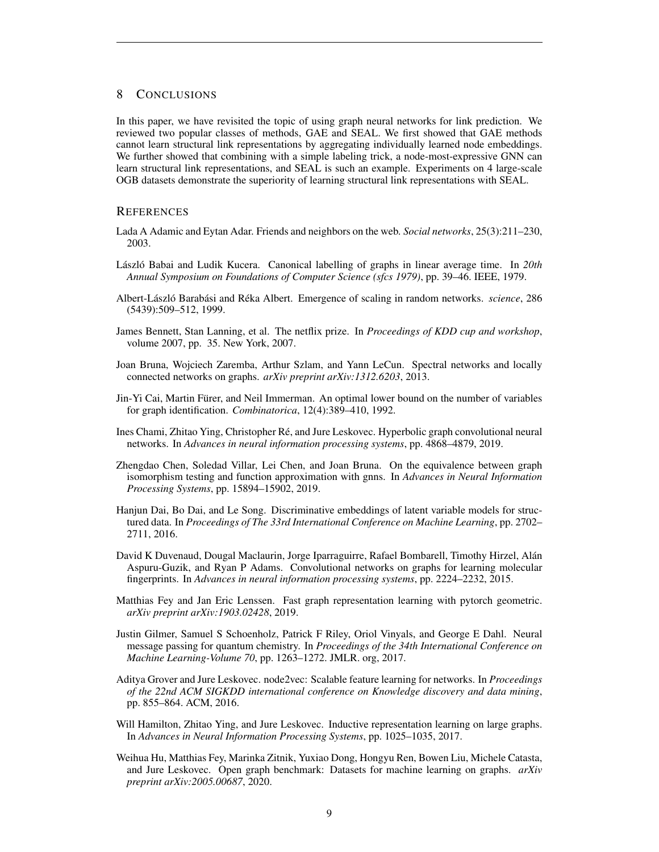# 8 CONCLUSIONS

In this paper, we have revisited the topic of using graph neural networks for link prediction. We reviewed two popular classes of methods, GAE and SEAL. We first showed that GAE methods cannot learn structural link representations by aggregating individually learned node embeddings. We further showed that combining with a simple labeling trick, a node-most-expressive GNN can learn structural link representations, and SEAL is such an example. Experiments on 4 large-scale OGB datasets demonstrate the superiority of learning structural link representations with SEAL.

### **REFERENCES**

- <span id="page-8-0"></span>Lada A Adamic and Eytan Adar. Friends and neighbors on the web. *Social networks*, 25(3):211–230, 2003.
- <span id="page-8-11"></span>László Babai and Ludik Kucera. Canonical labelling of graphs in linear average time. In 20th *Annual Symposium on Foundations of Computer Science (sfcs 1979)*, pp. 39–46. IEEE, 1979.
- <span id="page-8-2"></span>Albert-László Barabási and Réka Albert. Emergence of scaling in random networks. *science*, 286 (5439):509–512, 1999.
- <span id="page-8-1"></span>James Bennett, Stan Lanning, et al. The netflix prize. In *Proceedings of KDD cup and workshop*, volume 2007, pp. 35. New York, 2007.
- <span id="page-8-4"></span>Joan Bruna, Wojciech Zaremba, Arthur Szlam, and Yann LeCun. Spectral networks and locally connected networks on graphs. *arXiv preprint arXiv:1312.6203*, 2013.
- <span id="page-8-10"></span>Jin-Yi Cai, Martin Furer, and Neil Immerman. An optimal lower bound on the number of variables ¨ for graph identification. *Combinatorica*, 12(4):389–410, 1992.
- <span id="page-8-7"></span>Ines Chami, Zhitao Ying, Christopher Re, and Jure Leskovec. Hyperbolic graph convolutional neural ´ networks. In *Advances in neural information processing systems*, pp. 4868–4879, 2019.
- <span id="page-8-12"></span>Zhengdao Chen, Soledad Villar, Lei Chen, and Joan Bruna. On the equivalence between graph isomorphism testing and function approximation with gnns. In *Advances in Neural Information Processing Systems*, pp. 15894–15902, 2019.
- <span id="page-8-6"></span>Hanjun Dai, Bo Dai, and Le Song. Discriminative embeddings of latent variable models for structured data. In *Proceedings of The 33rd International Conference on Machine Learning*, pp. 2702– 2711, 2016.
- <span id="page-8-5"></span>David K Duvenaud, Dougal Maclaurin, Jorge Iparraguirre, Rafael Bombarell, Timothy Hirzel, Alan´ Aspuru-Guzik, and Ryan P Adams. Convolutional networks on graphs for learning molecular fingerprints. In *Advances in neural information processing systems*, pp. 2224–2232, 2015.
- <span id="page-8-14"></span>Matthias Fey and Jan Eric Lenssen. Fast graph representation learning with pytorch geometric. *arXiv preprint arXiv:1903.02428*, 2019.
- <span id="page-8-9"></span>Justin Gilmer, Samuel S Schoenholz, Patrick F Riley, Oriol Vinyals, and George E Dahl. Neural message passing for quantum chemistry. In *Proceedings of the 34th International Conference on Machine Learning-Volume 70*, pp. 1263–1272. JMLR. org, 2017.
- <span id="page-8-3"></span>Aditya Grover and Jure Leskovec. node2vec: Scalable feature learning for networks. In *Proceedings of the 22nd ACM SIGKDD international conference on Knowledge discovery and data mining*, pp. 855–864. ACM, 2016.
- <span id="page-8-13"></span>Will Hamilton, Zhitao Ying, and Jure Leskovec. Inductive representation learning on large graphs. In *Advances in Neural Information Processing Systems*, pp. 1025–1035, 2017.
- <span id="page-8-8"></span>Weihua Hu, Matthias Fey, Marinka Zitnik, Yuxiao Dong, Hongyu Ren, Bowen Liu, Michele Catasta, and Jure Leskovec. Open graph benchmark: Datasets for machine learning on graphs. *arXiv preprint arXiv:2005.00687*, 2020.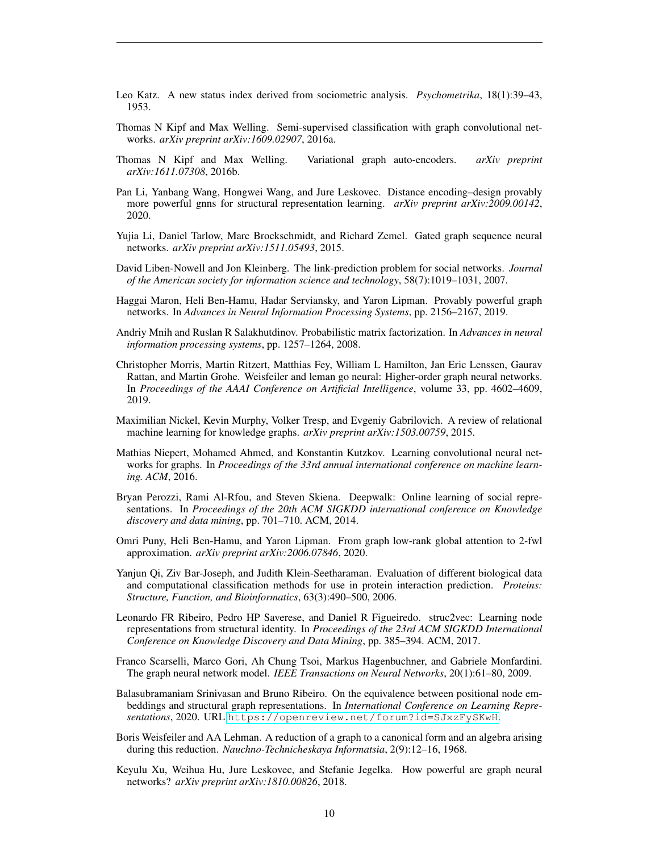- <span id="page-9-3"></span>Leo Katz. A new status index derived from sociometric analysis. *Psychometrika*, 18(1):39–43, 1953.
- <span id="page-9-6"></span>Thomas N Kipf and Max Welling. Semi-supervised classification with graph convolutional networks. *arXiv preprint arXiv:1609.02907*, 2016a.
- <span id="page-9-8"></span>Thomas N Kipf and Max Welling. Variational graph auto-encoders. *arXiv preprint arXiv:1611.07308*, 2016b.
- <span id="page-9-9"></span>Pan Li, Yanbang Wang, Hongwei Wang, and Jure Leskovec. Distance encoding–design provably more powerful gnns for structural representation learning. *arXiv preprint arXiv:2009.00142*, 2020.
- <span id="page-9-5"></span>Yujia Li, Daniel Tarlow, Marc Brockschmidt, and Richard Zemel. Gated graph sequence neural networks. *arXiv preprint arXiv:1511.05493*, 2015.
- <span id="page-9-2"></span>David Liben-Nowell and Jon Kleinberg. The link-prediction problem for social networks. *Journal of the American society for information science and technology*, 58(7):1019–1031, 2007.
- <span id="page-9-15"></span>Haggai Maron, Heli Ben-Hamu, Hadar Serviansky, and Yaron Lipman. Provably powerful graph networks. In *Advances in Neural Information Processing Systems*, pp. 2156–2167, 2019.
- <span id="page-9-12"></span>Andriy Mnih and Ruslan R Salakhutdinov. Probabilistic matrix factorization. In *Advances in neural information processing systems*, pp. 1257–1264, 2008.
- <span id="page-9-14"></span>Christopher Morris, Martin Ritzert, Matthias Fey, William L Hamilton, Jan Eric Lenssen, Gaurav Rattan, and Martin Grohe. Weisfeiler and leman go neural: Higher-order graph neural networks. In *Proceedings of the AAAI Conference on Artificial Intelligence*, volume 33, pp. 4602–4609, 2019.
- <span id="page-9-1"></span>Maximilian Nickel, Kevin Murphy, Volker Tresp, and Evgeniy Gabrilovich. A review of relational machine learning for knowledge graphs. *arXiv preprint arXiv:1503.00759*, 2015.
- <span id="page-9-7"></span>Mathias Niepert, Mohamed Ahmed, and Konstantin Kutzkov. Learning convolutional neural networks for graphs. In *Proceedings of the 33rd annual international conference on machine learning. ACM*, 2016.
- <span id="page-9-11"></span>Bryan Perozzi, Rami Al-Rfou, and Steven Skiena. Deepwalk: Online learning of social representations. In *Proceedings of the 20th ACM SIGKDD international conference on Knowledge discovery and data mining*, pp. 701–710. ACM, 2014.
- <span id="page-9-18"></span>Omri Puny, Heli Ben-Hamu, and Yaron Lipman. From graph low-rank global attention to 2-fwl approximation. *arXiv preprint arXiv:2006.07846*, 2020.
- <span id="page-9-0"></span>Yanjun Qi, Ziv Bar-Joseph, and Judith Klein-Seetharaman. Evaluation of different biological data and computational classification methods for use in protein interaction prediction. *Proteins: Structure, Function, and Bioinformatics*, 63(3):490–500, 2006.
- <span id="page-9-13"></span>Leonardo FR Ribeiro, Pedro HP Saverese, and Daniel R Figueiredo. struc2vec: Learning node representations from structural identity. In *Proceedings of the 23rd ACM SIGKDD International Conference on Knowledge Discovery and Data Mining*, pp. 385–394. ACM, 2017.
- <span id="page-9-4"></span>Franco Scarselli, Marco Gori, Ah Chung Tsoi, Markus Hagenbuchner, and Gabriele Monfardini. The graph neural network model. *IEEE Transactions on Neural Networks*, 20(1):61–80, 2009.
- <span id="page-9-10"></span>Balasubramaniam Srinivasan and Bruno Ribeiro. On the equivalence between positional node embeddings and structural graph representations. In *International Conference on Learning Representations*, 2020. URL <https://openreview.net/forum?id=SJxzFySKwH>.
- <span id="page-9-16"></span>Boris Weisfeiler and AA Lehman. A reduction of a graph to a canonical form and an algebra arising during this reduction. *Nauchno-Technicheskaya Informatsia*, 2(9):12–16, 1968.
- <span id="page-9-17"></span>Keyulu Xu, Weihua Hu, Jure Leskovec, and Stefanie Jegelka. How powerful are graph neural networks? *arXiv preprint arXiv:1810.00826*, 2018.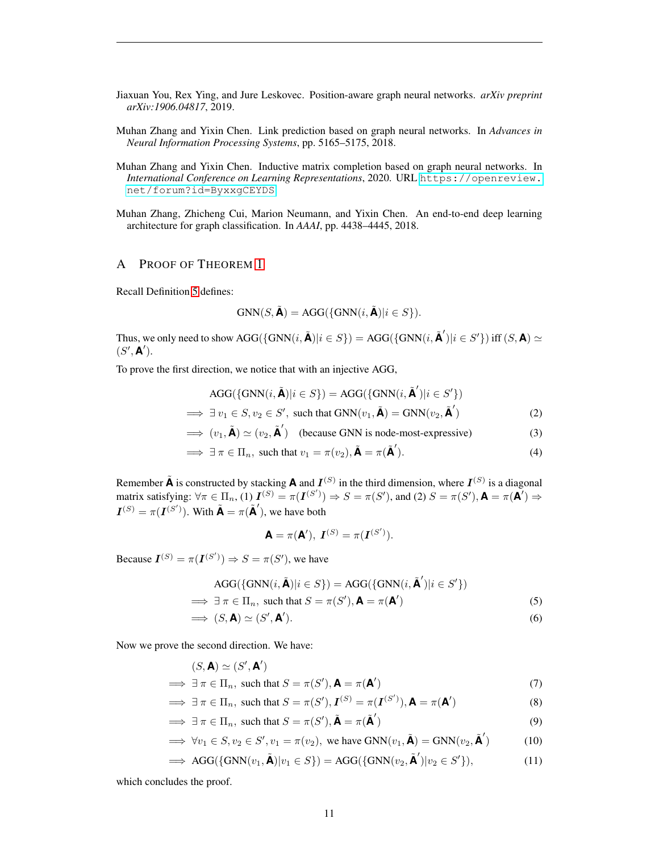<span id="page-10-1"></span>Jiaxuan You, Rex Ying, and Jure Leskovec. Position-aware graph neural networks. *arXiv preprint arXiv:1906.04817*, 2019.

- <span id="page-10-0"></span>Muhan Zhang and Yixin Chen. Link prediction based on graph neural networks. In *Advances in Neural Information Processing Systems*, pp. 5165–5175, 2018.
- <span id="page-10-2"></span>Muhan Zhang and Yixin Chen. Inductive matrix completion based on graph neural networks. In *International Conference on Learning Representations*, 2020. URL [https://openreview.](https://openreview.net/forum?id=ByxxgCEYDS) [net/forum?id=ByxxgCEYDS](https://openreview.net/forum?id=ByxxgCEYDS).
- <span id="page-10-3"></span>Muhan Zhang, Zhicheng Cui, Marion Neumann, and Yixin Chen. An end-to-end deep learning architecture for graph classification. In *AAAI*, pp. 4438–4445, 2018.

# A PROOF OF THEOREM [1](#page-3-1)

Recall Definition [5](#page-1-1) defines:

$$
\text{GNN}(S, \tilde{\mathbf{A}}) = \text{AGG}(\{\text{GNN}(i, \tilde{\mathbf{A}}) | i \in S\}).
$$

Thus, we only need to show  $\text{AGG}(\{\text{GNN}(i, \tilde{\textbf{A}})|i \in S\}) = \text{AGG}(\{\text{GNN}(i, \tilde{\textbf{A}}')|i \in S'\})$  iff  $(S, \textbf{A}) \simeq$  $(S', \mathbf{A}')$ .

To prove the first direction, we notice that with an injective AGG,

$$
AGG(\{GNN(i, \tilde{\mathbf{A}})|i \in S\}) = AGG(\{GNN(i, \tilde{\mathbf{A}}')|i \in S'\})
$$
  
\n
$$
\implies \exists v_1 \in S, v_2 \in S', \text{ such that } GNN(v_1, \tilde{\mathbf{A}}) = GNN(v_2, \tilde{\mathbf{A}}')
$$
\n(2)

$$
\implies (v_1, \tilde{\mathbf{A}}) \simeq (v_2, \tilde{\mathbf{A}}') \quad \text{(because GNN is node-most-expressive)} \tag{3}
$$

$$
\implies \exists \pi \in \Pi_n, \text{ such that } v_1 = \pi(v_2), \tilde{\mathbf{A}} = \pi(\tilde{\mathbf{A}}'). \tag{4}
$$

Remember  $\tilde{A}$  is constructed by stacking **A** and  $I^{(S)}$  in the third dimension, where  $I^{(S)}$  is a diagonal matrix satisfying:  $\forall \pi \in \Pi_n$ , (1)  $I^{(S)} = \pi(I^{(S')}) \Rightarrow S = \pi(S')$ , and (2)  $S = \pi(S')$ ,  $\mathbf{A} = \pi(\mathbf{A}') \Rightarrow$  $I^{(S)} = \pi(I^{(S')})$ . With  $\tilde{A} = \pi(\tilde{A}')$ , we have both

$$
\mathbf{A} = \pi(\mathbf{A}'), \ \mathbf{I}^{(S)} = \pi(\mathbf{I}^{(S')}).
$$

Because  $\mathbf{I}^{(S)} = \pi(\mathbf{I}^{(S')}) \Rightarrow S = \pi(S')$ , we have

$$
AGG(\{GNN(i, \tilde{\mathbf{A}})|i \in S\}) = AGG(\{GNN(i, \tilde{\mathbf{A}}')|i \in S'\})
$$
  
\n
$$
\implies \exists \pi \in \Pi_n, \text{ such that } S = \pi(S'), \mathbf{A} = \pi(\mathbf{A}')
$$
 (5)

$$
\implies (S, \mathbf{A}) \simeq (S', \mathbf{A}'). \tag{6}
$$

Now we prove the second direction. We have:

 $\overline{\phantom{a}}$ 

$$
(S, \mathbf{A}) \simeq (S', \mathbf{A}')
$$

$$
\implies \exists \pi \in \Pi_n, \text{ such that } S = \pi(S'), \mathbf{A} = \pi(\mathbf{A}')
$$
\n
$$
\implies \exists \pi \in \Pi, \text{ such that } S = \pi(S'), \mathbf{A} = \pi(\mathbf{A}')
$$
\n(7)

$$
\implies \exists \pi \in \Pi_n, \text{ such that } S = \pi(S'), \mathbf{I}^{(S)} = \pi(\mathbf{I}^{(S')}), \mathbf{A} = \pi(\mathbf{A}')
$$
(8)

$$
\implies \exists \pi \in \Pi_n, \text{ such that } S = \pi(S'), \tilde{\mathbf{A}} = \pi(\tilde{\mathbf{A}}')
$$
(9)

$$
\implies \forall v_1 \in S, v_2 \in S', v_1 = \pi(v_2), \text{ we have } \text{GNN}(v_1, \tilde{\mathbf{A}}) = \text{GNN}(v_2, \tilde{\mathbf{A}}')
$$
(10)

 $\implies \text{AGG}(\{\text{GNN}(v_1, \tilde{\mathbf{A}}) | v_1 \in S\}) = \text{AGG}(\{\text{GNN}(v_2, \tilde{\mathbf{A}}') | v_2 \in S' \}$  $(11)$ 

which concludes the proof.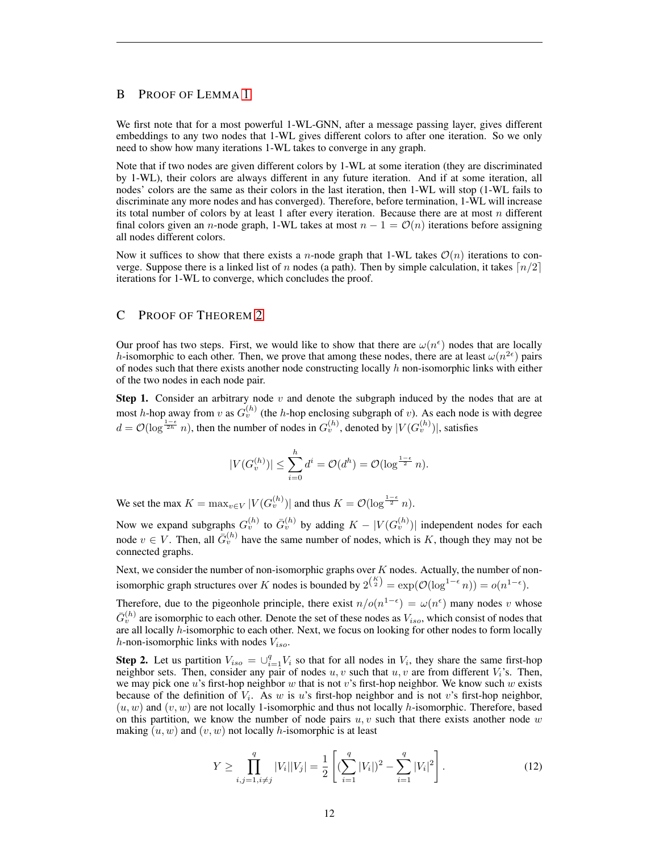# B PROOF OF LEMMA [1](#page-5-1)

We first note that for a most powerful 1-WL-GNN, after a message passing layer, gives different embeddings to any two nodes that 1-WL gives different colors to after one iteration. So we only need to show how many iterations 1-WL takes to converge in any graph.

Note that if two nodes are given different colors by 1-WL at some iteration (they are discriminated by 1-WL), their colors are always different in any future iteration. And if at some iteration, all nodes' colors are the same as their colors in the last iteration, then 1-WL will stop (1-WL fails to discriminate any more nodes and has converged). Therefore, before termination, 1-WL will increase its total number of colors by at least 1 after every iteration. Because there are at most  $n$  different final colors given an n-node graph, 1-WL takes at most  $n - 1 = \mathcal{O}(n)$  iterations before assigning all nodes different colors.

Now it suffices to show that there exists a n-node graph that 1-WL takes  $\mathcal{O}(n)$  iterations to converge. Suppose there is a linked list of n nodes (a path). Then by simple calculation, it takes  $\lceil n/2 \rceil$ iterations for 1-WL to converge, which concludes the proof.

## C PROOF OF THEOREM [2](#page-6-1)

Our proof has two steps. First, we would like to show that there are  $\omega(n^{\epsilon})$  nodes that are locally h-isomorphic to each other. Then, we prove that among these nodes, there are at least  $\omega(n^{2\epsilon})$  pairs of nodes such that there exists another node constructing locally  $h$  non-isomorphic links with either of the two nodes in each node pair.

**Step 1.** Consider an arbitrary node  $v$  and denote the subgraph induced by the nodes that are at most h-hop away from v as  $G_v^{(h)}$  (the h-hop enclosing subgraph of v). As each node is with degree  $d = \mathcal{O}(\log^{\frac{1-\epsilon}{2h}} n)$ , then the number of nodes in  $G_v^{(h)}$ , denoted by  $|V(G_v^{(h)})|$ , satisfies

$$
|V(G_v^{(h)})| \le \sum_{i=0}^h d^i = \mathcal{O}(d^h) = \mathcal{O}(\log^{\frac{1-\epsilon}{2}} n).
$$

We set the max  $K = \max_{v \in V} |V(G_v^{(h)})|$  and thus  $K = \mathcal{O}(\log^{\frac{1-\epsilon}{2}} n)$ .

Now we expand subgraphs  $G_v^{(h)}$  to  $\bar{G}_v^{(h)}$  by adding  $K - |V(G_v^{(h)})|$  independent nodes for each node  $v \in V$ . Then, all  $\bar{G}_v^{(h)}$  have the same number of nodes, which is K, though they may not be connected graphs.

Next, we consider the number of non-isomorphic graphs over  $K$  nodes. Actually, the number of nonisomorphic graph structures over K nodes is bounded by  $2^{\binom{K}{2}} = \exp(\mathcal{O}(\log^{1-\epsilon} n)) = o(n^{1-\epsilon}).$ 

Therefore, due to the pigeonhole principle, there exist  $n/o(n^{1-\epsilon}) = \omega(n^{\epsilon})$  many nodes v whose  $\bar{G}_v^{(h)}$  are isomorphic to each other. Denote the set of these nodes as  $V_{iso}$ , which consist of nodes that are all locally h-isomorphic to each other. Next, we focus on looking for other nodes to form locally h-non-isomorphic links with nodes  $V_{iso}$ .

**Step 2.** Let us partition  $V_{iso} = \bigcup_{i=1}^{q} V_i$  so that for all nodes in  $V_i$ , they share the same first-hop neighbor sets. Then, consider any pair of nodes  $u, v$  such that  $u, v$  are from different  $V_i$ 's. Then, we may pick one u's first-hop neighbor w that is not v's first-hop neighbor. We know such w exists because of the definition of  $V_i$ . As w is u's first-hop neighbor and is not v's first-hop neighbor,  $(u, w)$  and  $(v, w)$  are not locally 1-isomorphic and thus not locally h-isomorphic. Therefore, based on this partition, we know the number of node pairs  $u, v$  such that there exists another node w making  $(u, w)$  and  $(v, w)$  not locally *h*-isomorphic is at least

<span id="page-11-0"></span>
$$
Y \ge \prod_{i,j=1, i \ne j}^{q} |V_i||V_j| = \frac{1}{2} \left[ \left( \sum_{i=1}^{q} |V_i| \right)^2 - \sum_{i=1}^{q} |V_i|^2 \right]. \tag{12}
$$